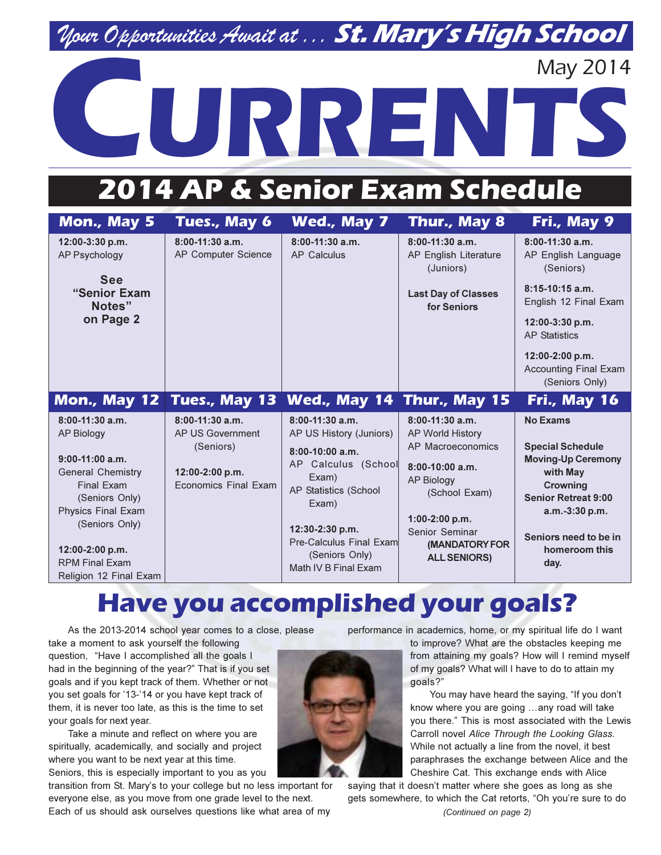### Nour Opportunities Await at ... St. Mary's High School

# **May 2014** URREN

## 2014 AP & Senior Exam Schedule

| Mon., May 5                                       | Tues., May 6                                   | Wed., May 7                                  | Thur., May 8                                            | Fri., May 9                                                       |
|---------------------------------------------------|------------------------------------------------|----------------------------------------------|---------------------------------------------------------|-------------------------------------------------------------------|
| 12:00-3:30 p.m.<br>AP Psychology                  | $8:00-11:30$ a.m.<br>AP Computer Science       | $8:00-11:30$ a.m.<br><b>AP Calculus</b>      | $8:00-11:30$ a.m.<br>AP English Literature<br>(Juniors) | $8:00-11:30$ a.m.<br>AP English Language<br>(Seniors)             |
| <b>See</b><br>"Senior Exam<br>Notes"<br>on Page 2 |                                                |                                              | <b>Last Day of Classes</b><br>for Seniors               | $8:15-10:15$ a.m.<br>English 12 Final Exam                        |
|                                                   |                                                |                                              |                                                         | $12:00-3:30 p.m.$<br><b>AP Statistics</b>                         |
|                                                   |                                                |                                              |                                                         | 12:00-2:00 p.m.<br><b>Accounting Final Exam</b><br>(Seniors Only) |
| <b>Mon., May 12</b>                               | Tues., May 13                                  | Wed., May 14 Thur., May 15                   |                                                         | Fri., May 16                                                      |
| $8:00-11:30$ a.m.                                 | $8:00-11:30$ a.m.<br>AP US Government          | $8:00-11:30$ a.m.                            | $8:00-11:30$ a.m.                                       | <b>No Exams</b>                                                   |
| <b>AP Biology</b>                                 | (Seniors)                                      | AP US History (Juniors)<br>$8:00-10:00$ a.m. | <b>AP World History</b><br>AP Macroeconomics            | <b>Special Schedule</b>                                           |
| $9:00-11:00$ a.m.                                 |                                                | AP Calculus (School                          | $8:00-10:00$ a.m.                                       | <b>Moving-Up Ceremony</b>                                         |
| <b>General Chemistry</b><br><b>Final Exam</b>     | 12:00-2:00 p.m.<br><b>Economics Final Exam</b> | Exam)<br>AP Statistics (School               | <b>AP Biology</b>                                       | with May<br>Crowning                                              |
| (Seniors Only)                                    |                                                | Exam)                                        | (School Exam)                                           | <b>Senior Retreat 9:00</b>                                        |
| <b>Physics Final Exam</b><br>(Seniors Only)       |                                                | 12:30-2:30 p.m.                              | $1:00-2:00 p.m.$                                        | $a.m.-3:30 p.m.$                                                  |
|                                                   |                                                | <b>Pre-Calculus Final Exam</b>               | Senior Seminar<br><b>(MANDATORY FOR</b>                 | Seniors need to be in                                             |
| 12:00-2:00 p.m.<br><b>RPM Final Exam</b>          |                                                | (Seniors Only)                               | <b>ALL SENIORS)</b>                                     | homeroom this<br>day.                                             |
| Religion 12 Final Exam                            |                                                | Math IV B Final Exam                         |                                                         |                                                                   |

### **Have you accomplished your goals?**

As the 2013-2014 school year comes to a close, please take a moment to ask yourself the following

question, "Have I accomplished all the goals I had in the beginning of the year?" That is if you set goals and if you kept track of them. Whether or not you set goals for '13-'14 or you have kept track of them, it is never too late, as this is the time to set your goals for next year.

Take a minute and reflect on where you are spiritually, academically, and socially and project where you want to be next year at this time. Seniors, this is especially important to you as you

transition from St. Mary's to your college but no less important for everyone else, as you move from one grade level to the next. Each of us should ask ourselves questions like what area of my

performance in academics, home, or my spiritual life do I want

to improve? What are the obstacles keeping me from attaining my goals? How will I remind myself of my goals? What will I have to do to attain my goals?"

You may have heard the saying, "If you don't know where you are going ...any road will take you there." This is most associated with the Lewis Carroll novel Alice Through the Looking Glass. While not actually a line from the novel, it best paraphrases the exchange between Alice and the Cheshire Cat. This exchange ends with Alice

saying that it doesn't matter where she goes as long as she gets somewhere, to which the Cat retorts, "Oh you're sure to do

(Continued on page 2)

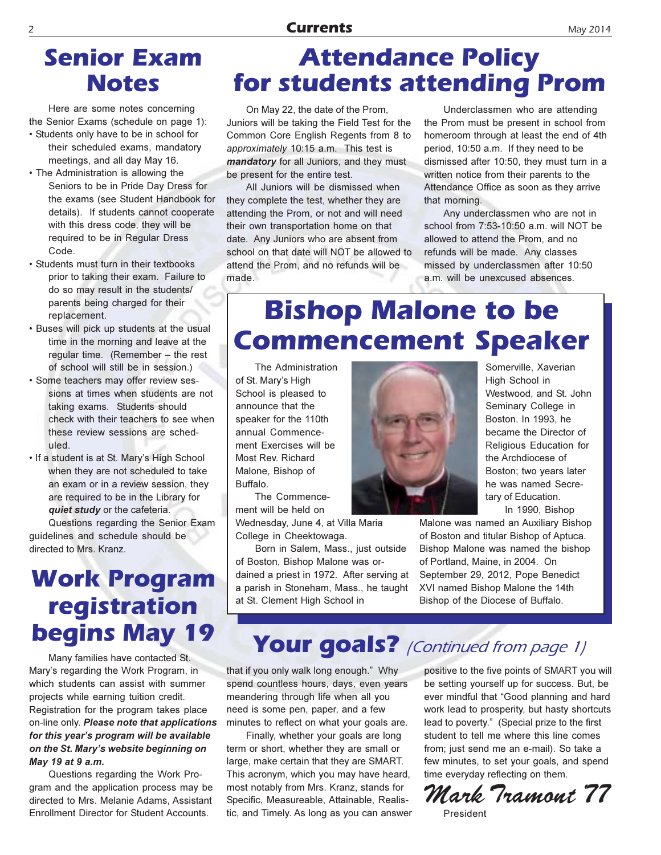#### **Currents**

#### **Senjor Exam Notes**

Here are some notes concerning the Senior Exams (schedule on page 1):

- Students only have to be in school for their scheduled exams, mandatory meetings, and all day May 16.
- The Administration is allowing the Seniors to be in Pride Day Dress for the exams (see Student Handbook for details). If students cannot cooperate with this dress code, they will be required to be in Regular Dress Code.
- Students must turn in their textbooks prior to taking their exam. Failure to do so may result in the students/ parents being charged for their replacement.
- . Buses will pick up students at the usual time in the morning and leave at the regular time. (Remember - the rest of school will still be in session.)
- · Some teachers may offer review sessions at times when students are not taking exams. Students should check with their teachers to see when these review sessions are scheduled.
- . If a student is at St. Mary's High School when they are not scheduled to take an exam or in a review session, they are required to be in the Library for quiet study or the cafeteria.

Questions regarding the Senior Exam guidelines and schedule should be directed to Mrs. Kranz.

### **Work Program** registration **begins May 19**

Many families have contacted St. Mary's regarding the Work Program, in which students can assist with summer projects while earning tuition credit. Registration for the program takes place on-line only. Please note that applications for this year's program will be available on the St. Mary's website beginning on May 19 at 9 a.m.

Questions regarding the Work Program and the application process may be directed to Mrs. Melanie Adams, Assistant **Enrollment Director for Student Accounts.** 

### **Attendance Policy** for students attending Prom

On May 22, the date of the Prom, Juniors will be taking the Field Test for the Common Core English Regents from 8 to approximately 10:15 a.m. This test is mandatory for all Juniors, and they must be present for the entire test.

All Juniors will be dismissed when they complete the test, whether they are attending the Prom, or not and will need their own transportation home on that date. Any Juniors who are absent from school on that date will NOT be allowed to attend the Prom, and no refunds will be made.

Underclassmen who are attending the Prom must be present in school from homeroom through at least the end of 4th period, 10:50 a.m. If they need to be dismissed after 10:50, they must turn in a written notice from their parents to the Attendance Office as soon as they arrive that morning.

Any underclassmen who are not in school from 7:53-10:50 a.m. will NOT be allowed to attend the Prom, and no refunds will be made. Any classes missed by underclassmen after 10:50 a.m. will be unexcused absences.

### **Bishop Malone to be Commencement Speaker**

The Administration of St. Mary's High School is pleased to announce that the speaker for the 110th annual Commencement Exercises will be Most Rev. Richard Malone. Bishop of Buffalo.

The Commencement will be held on Wednesday, June 4, at Villa Maria College in Cheektowaga.

Born in Salem, Mass., just outside of Boston, Bishop Malone was ordained a priest in 1972. After serving at a parish in Stoneham, Mass., he taught at St. Clement High School in



Somerville, Xaverian High School in Westwood, and St. John Seminary College in Boston. In 1993, he became the Director of Religious Education for the Archdiocese of Boston: two vears later he was named Secretary of Education. In 1990, Bishop

Malone was named an Auxiliary Bishop of Boston and titular Bishop of Aptuca. Bishop Malone was named the bishop of Portland, Maine, in 2004. On September 29, 2012, Pope Benedict XVI named Bishop Malone the 14th Bishop of the Diocese of Buffalo.

### Your goals? (Continued from page 1)

that if you only walk long enough." Why spend countless hours, days, even years meandering through life when all you need is some pen, paper, and a few minutes to reflect on what your goals are.

Finally, whether your goals are long term or short, whether they are small or large, make certain that they are SMART. This acronym, which you may have heard, most notably from Mrs. Kranz, stands for Specific, Measureable, Attainable, Realistic, and Timely. As long as you can answer

positive to the five points of SMART you will be setting yourself up for success. But, be ever mindful that "Good planning and hard work lead to prosperity, but hasty shortcuts lead to poverty." (Special prize to the first student to tell me where this line comes from; just send me an e-mail). So take a few minutes, to set your goals, and spend time everyday reflecting on them.

Mark Tramont 77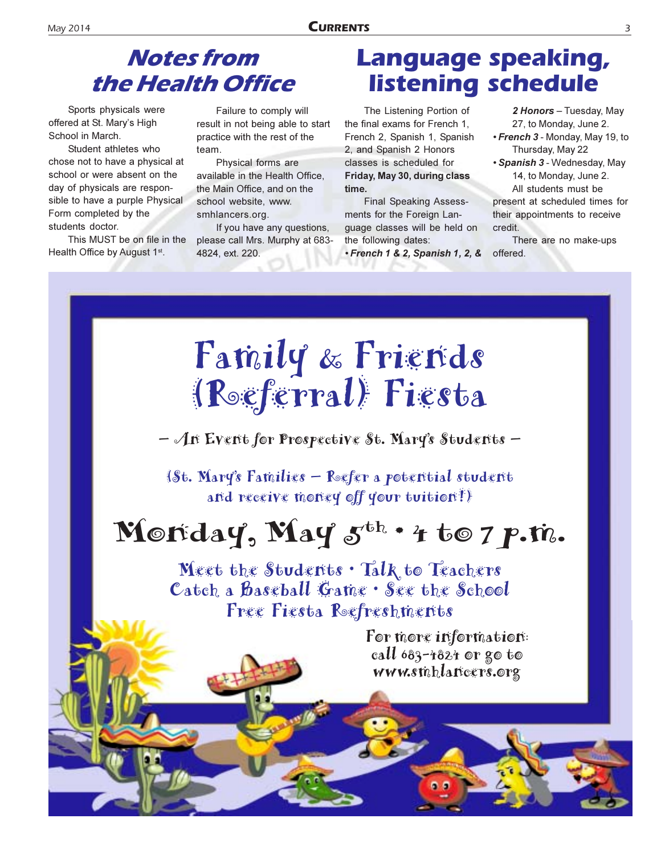### **Notes from** the Health Office

Sports physicals were offered at St. Mary's High School in March.

Student athletes who chose not to have a physical at school or were absent on the day of physicals are responsible to have a purple Physical Form completed by the students doctor.

This MUST be on file in the Health Office by August 1<sup>st</sup>.

Failure to comply will result in not being able to start practice with the rest of the  $tan$ 

Physical forms are available in the Health Office. the Main Office, and on the school website, www. smhlancers.org.

If you have any questions, please call Mrs. Murphy at 683-4824, ext. 220.

### **Language speaking, listening schedule**

The Listening Portion of the final exams for French 1. French 2, Spanish 1, Spanish 2, and Spanish 2 Honors classes is scheduled for Friday, May 30, during class time.

**Final Speaking Assess**ments for the Foreign Lanquage classes will be held on the following dates:

• French 1 & 2, Spanish 1, 2, &

2 Honors - Tuesday, May 27, to Monday, June 2.

- French 3 Monday, May 19, to Thursday, May 22
- · Spanish 3 Wednesday, May 14, to Monday, June 2. All students must be present at scheduled times for their appointments to receive credit.

There are no make-ups offered.

# Family & Friends (Referral) Fiesta

- An Event for Prospective St. Mary's Students -

(St. Mary's Families - Refer a potential student and receive money off your tuition!)

# Morday, May  $5^{\text{th}}$  + 4 to 7 p.m.

Meet the Students . Talk to Teachers Catch a Baseball Game · See the School Free Fiesta Refreshments

> For more information: call  $683 - 4824$  or go to www.sthhlancers.org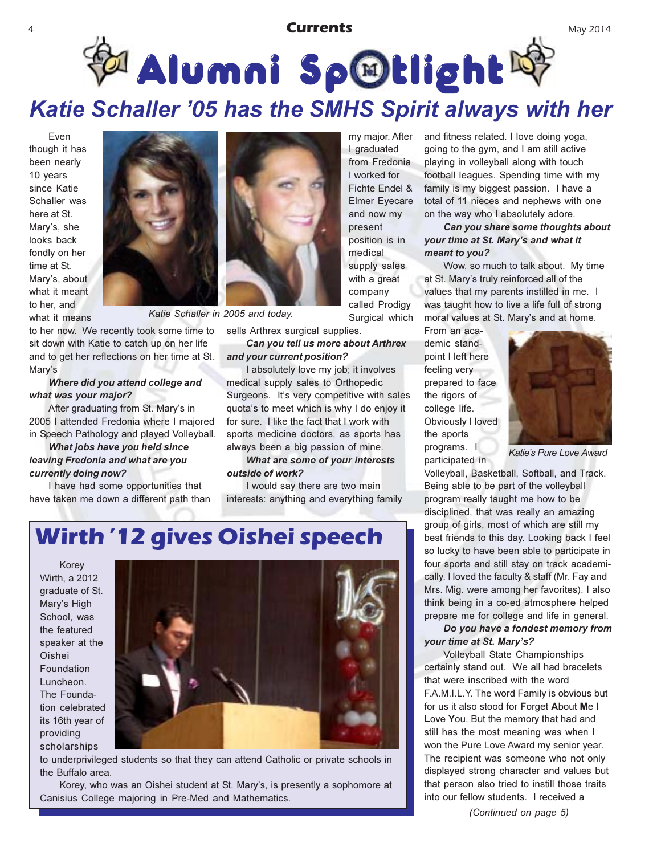#### **Currents**

### Katie Schaller '05 has the SMHS Spirit always with her

Even though it has been nearly 10 years since Katie Schaller was here at St. Mary's, she looks back fondly on her time at St. Mary's, about what it meant to her, and what it means



to her now. We recently took some time to sit down with Katie to catch up on her life and to get her reflections on her time at St. Mary's

#### Where did you attend college and what was your major?

After graduating from St. Mary's in 2005 I attended Fredonia where I majored in Speech Pathology and played Volleyball.

What jobs have you held since leaving Fredonia and what are you currently doing now?

I have had some opportunities that have taken me down a different path than



Katie Schaller in 2005 and today.

sells Arthrex surgical supplies.

Can you tell us more about Arthrex and your current position?

I absolutely love my job; it involves medical supply sales to Orthopedic Surgeons. It's very competitive with sales quota's to meet which is why I do enjoy it for sure. I like the fact that I work with sports medicine doctors, as sports has always been a big passion of mine.

#### What are some of your interests outside of work?

I would say there are two main interests: anything and everything family

my major. After I graduated from Fredonia I worked for Fichte Endel & **Elmer Eyecare** and now my present position is in medical supply sales with a great company called Prodigy Surgical which

and fitness related. I love doing yoga, going to the gym, and I am still active playing in volleyball along with touch football leagues. Spending time with my family is my biggest passion. I have a total of 11 nieces and nephews with one on the way who I absolutely adore.

Can you share some thoughts about your time at St. Mary's and what it meant to you?

Wow, so much to talk about. My time at St. Mary's truly reinforced all of the values that my parents instilled in me. I was taught how to live a life full of strong moral values at St. Mary's and at home.

From an academic standpoint I left here feeling very prepared to face the rigors of college life. Obviously I loved the sports programs. I participated in



May 2014

Katie's Pure Love Award

Volleyball, Basketball, Softball, and Track. Being able to be part of the volleyball program really taught me how to be disciplined, that was really an amazing group of girls, most of which are still my best friends to this day. Looking back I feel so lucky to have been able to participate in four sports and still stay on track academically. I loved the faculty & staff (Mr. Fay and Mrs. Mig. were among her favorites). I also think being in a co-ed atmosphere helped prepare me for college and life in general.

Do you have a fondest memory from your time at St. Mary's?

Volleyball State Championships certainly stand out. We all had bracelets that were inscribed with the word F.A.M.I.L.Y. The word Family is obvious but for us it also stood for Forget About Me I Love You. But the memory that had and still has the most meaning was when I won the Pure Love Award my senior year. The recipient was someone who not only displayed strong character and values but that person also tried to instill those traits into our fellow students. I received a

#### **Wirth '12 gives Oishei speech**

Korey Wirth, a 2012 graduate of St. Mary's High School. was the featured speaker at the Oishei Foundation Luncheon. The Foundation celebrated its 16th year of providing scholarships



to underprivileged students so that they can attend Catholic or private schools in the Buffalo area.

Korey, who was an Oishei student at St. Mary's, is presently a sophomore at Canisius College majoring in Pre-Med and Mathematics.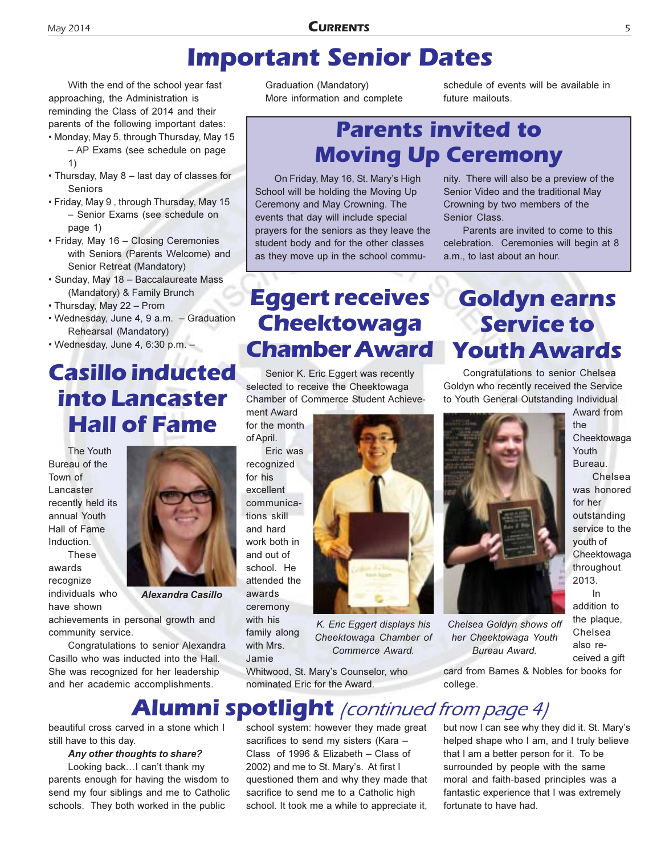### **Important Senior Dates**

With the end of the school year fast approaching, the Administration is reminding the Class of 2014 and their parents of the following important dates:

- Monday, May 5, through Thursday, May 15 – AP Exams (see schedule on page  $\left( \right)$
- Thursday, May 8 last day of classes for Seniors
- Friday, May 9 , through Thursday, May 15 - Senior Exams (see schedule on page 1)
- Friday, May 16 Closing Ceremonies with Seniors (Parents Welcome) and Senior Retreat (Mandatory)
- · Sunday, May 18 Baccalaureate Mass (Mandatory) & Family Brunch
- Thursday, May 22 Prom
- Wednesday, June 4, 9 a.m. Graduation Rehearsal (Mandatory)
- $\bullet$  Wednesday, June 4, 6:30 p.m.  $-$

#### **Casillo inducted into Lancaster Hall of Fame**

The Youth Bureau of the Town of Lancaster recently held its annual Youth Hall of Fame Induction.

These awards recognize individuals who have shown

Alexandra Casillo

achievements in personal growth and community service.

Congratulations to senior Alexandra Casillo who was inducted into the Hall. She was recognized for her leadership and her academic accomplishments.

Graduation (Mandatory) More information and complete schedule of events will be available in future mailouts

### **Parents invited to Moving Up Ceremony**

On Friday, May 16, St. Mary's High School will be holding the Moving Up Ceremony and May Crowning. The events that day will include special prayers for the seniors as they leave the student body and for the other classes as they move up in the school commu-

#### nity. There will also be a preview of the Senior Video and the traditional May Crowning by two members of the Senior Class

Parents are invited to come to this celebration. Ceremonies will begin at 8 a.m., to last about an hour.

**Goldyn earns** 

**Service to** 

### **Eggert receives Cheektowaga Chamber Award**

Senior K. Eric Eggert was recently selected to receive the Cheektowaga Chamber of Commerce Student Achieve-

ment Award for the month of April.

Eric was recognized for his excellent communications skill and hard work both in and out of school. He attended the awards ceremony with his family along with Mrs. Jamie

K. Eric Eggert displays his Cheektowaga Chamber of

Whitwood, St. Mary's Counselor, who nominated Eric for the Award.

sacrifices to send my sisters (Kara -Class of 1996 & Elizabeth - Class of 2002) and me to St. Mary's. At first I questioned them and why they made that sacrifice to send me to a Catholic high school. It took me a while to appreciate it,



ceived a gift

Chelsea

for her outstanding service to the youth of Cheektowaga throughout

card from Barnes & Nobles for books for college.

#### **Alumni spotlight** /continued from page 4/ school system: however they made great

beautiful cross carved in a stone which I still have to this day.

#### Any other thoughts to share?

Looking back…I can't thank my parents enough for having the wisdom to send my four siblings and me to Catholic schools. They both worked in the public

Commerce Award.

but now I can see why they did it. St. Mary's helped shape who I am, and I truly believe that I am a better person for it. To be surrounded by people with the same moral and faith-based principles was a fantastic experience that I was extremely

fortunate to have had.



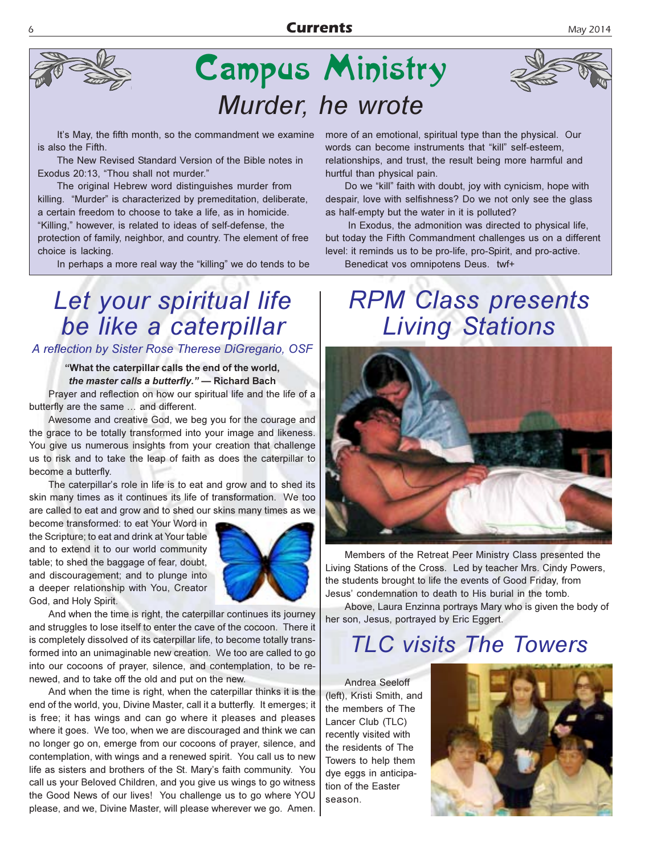

# **Campus Ministry** Murder, he wrote

It's May, the fifth month, so the commandment we examine is also the Fifth.

The New Revised Standard Version of the Bible notes in Exodus 20:13, "Thou shall not murder."

The original Hebrew word distinguishes murder from killing. "Murder" is characterized by premeditation, deliberate, a certain freedom to choose to take a life, as in homicide. "Killing," however, is related to ideas of self-defense, the protection of family, neighbor, and country. The element of free choice is lacking.

In perhaps a more real way the "killing" we do tends to be

### Let your spiritual life be like a caterpillar

A reflection by Sister Rose Therese DiGregario, OSF

"What the caterpillar calls the end of the world, the master calls a butterfly." - Richard Bach

Prayer and reflection on how our spiritual life and the life of a butterfly are the same ... and different.

Awesome and creative God, we beg you for the courage and the grace to be totally transformed into your image and likeness. You give us numerous insights from your creation that challenge us to risk and to take the leap of faith as does the caterpillar to become a butterfly.

The caterpillar's role in life is to eat and grow and to shed its skin many times as it continues its life of transformation. We too are called to eat and grow and to shed our skins many times as we

become transformed: to eat Your Word in the Scripture; to eat and drink at Your table and to extend it to our world community table; to shed the baggage of fear, doubt, and discouragement; and to plunge into a deeper relationship with You, Creator God, and Holy Spirit.



And when the time is right, the caterpillar continues its journey and struggles to lose itself to enter the cave of the cocoon. There it is completely dissolved of its caterpillar life, to become totally transformed into an unimaginable new creation. We too are called to go into our cocoons of prayer, silence, and contemplation, to be renewed, and to take off the old and put on the new.

And when the time is right, when the caterpillar thinks it is the end of the world, you, Divine Master, call it a butterfly. It emerges; it is free; it has wings and can go where it pleases and pleases where it goes. We too, when we are discouraged and think we can no longer go on, emerge from our cocoons of prayer, silence, and contemplation, with wings and a renewed spirit. You call us to new life as sisters and brothers of the St. Mary's faith community. You call us your Beloved Children, and you give us wings to go witness the Good News of our lives! You challenge us to go where YOU please, and we, Divine Master, will please wherever we go. Amen.

more of an emotional, spiritual type than the physical. Our words can become instruments that "kill" self-esteem, relationships, and trust, the result being more harmful and hurtful than physical pain.

Do we "kill" faith with doubt, joy with cynicism, hope with despair, love with selfishness? Do we not only see the glass as half-empty but the water in it is polluted?

In Exodus, the admonition was directed to physical life, but today the Fifth Commandment challenges us on a different level: it reminds us to be pro-life, pro-Spirit, and pro-active.

Benedicat vos omnipotens Deus. twf+

### **RPM Class presents Living Stations**



Members of the Retreat Peer Ministry Class presented the Living Stations of the Cross. Led by teacher Mrs. Cindy Powers, the students brought to life the events of Good Friday, from Jesus' condemnation to death to His burial in the tomb.

Above, Laura Enzinna portrays Mary who is given the body of her son, Jesus, portrayed by Eric Eggert.

### **TLC visits The Towers**

Andrea Seeloff (left), Kristi Smith, and the members of The Lancer Club (TLC) recently visited with the residents of The Towers to help them dye eggs in anticipation of the Easter season.

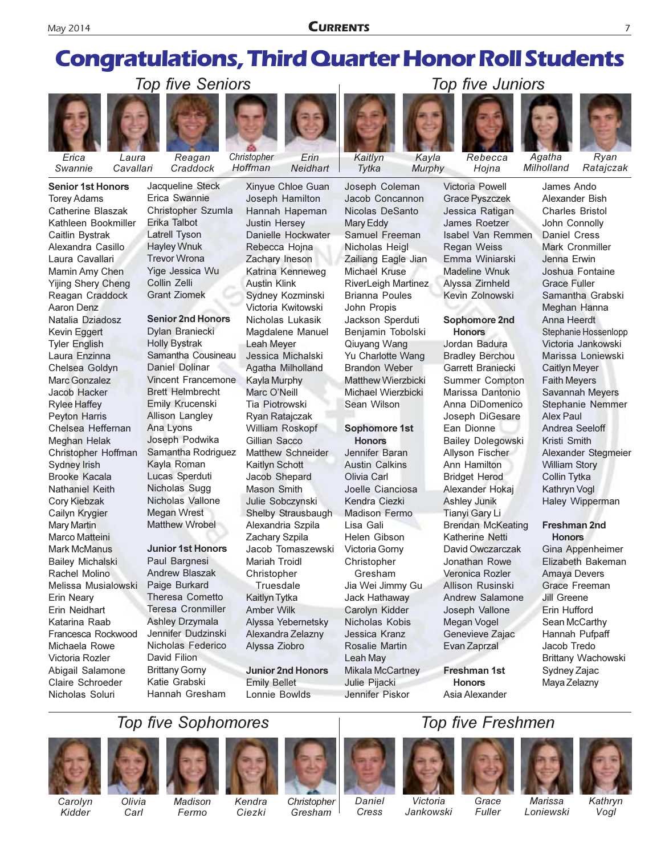**CURRENTS** 

### **Congratulations, Third Quarter Honor Roll Students**

Frin

Neidhart

Xinyue Chloe Guan



Swannie

**Senior 1st Honors Torey Adams** Catherine Blaszak Kathleen Bookmiller Caitlin Bystrak Alexandra Casillo Laura Cavallari Mamin Amy Chen **Yijing Shery Cheng** Reagan Craddock Aaron Denz Natalia Dziadosz Kevin Eggert **Tyler English** Laura Enzinna Chelsea Goldyn Marc Gonzalez Jacob Hacker **Rylee Haffey** Peyton Harris Chelsea Heffernan **Meghan Helak** Christopher Hoffman Sydney Irish **Brooke Kacala** Nathaniel Keith Cory Kiebzak Cailvn Krvgier Mary Martin Marco Matteini **Mark McManus Bailev Michalski** Rachel Molino Melissa Musialowski Erin Neary Erin Neidhart Katarina Raab Francesca Rockwood Michaela Rowe Victoria Rozler Abigail Salamone Claire Schroeder



Laura Cavallari

Reagan Craddock

Hoffman Jacqueline Steck Erica Swannie Christopher Szumla Erika Talbot **Latrell Tyson Hayley Wnuk** 

Christopher



**Trevor Wrona** 

**Grant Ziomek** 

Collin Zelli

Yige Jessica Wu

Dvlan Braniecki **Holly Bystrak** Samantha Cousineau **Daniel Dolinar Vincent Francemone Brett Helmbrecht** Emily Krucenski **Allison Langley** Ana Lyons Joseph Podwika Samantha Rodriguez Kayla Roman Lucas Sperduti Nicholas Sugg Nicholas Vallone **Megan Wrest Matthew Wrobel** 

#### **Junior 1st Honors**

Paul Bargnesi **Andrew Blaszak** Paige Burkard Theresa Cometto **Teresa Cronmiller Ashley Drzymala** Jennifer Dudzinski Nicholas Federico David Filion **Brittany Gorny** Katie Grabski Hannah Gresham

Joseph Hamilton Hannah Hapeman **Justin Hersey** Danielle Hockwater Rebecca Hojna Zachary Ineson Katrina Kenneweg **Austin Klink** Sydney Kozminski Victoria Kwitowski Nicholas Lukasik Magdalene Manuel Leah Meyer Jessica Michalski Agatha Milholland **Kayla Murphy** Marc O'Neill Tia Piotrowski Ryan Ratajczak **William Roskopf** Gillian Sacco **Matthew Schneider** Kaitlyn Schott Jacob Shepard Mason Smith Julie Sobczynski Shelby Strausbaugh Alexandria Szpila Zachary Szpila Jacob Tomaszewski **Mariah Troidl** Christopher Truesdale Kaitlyn Tytka **Amber Wilk** Alyssa Yebernetsky Alexandra Zelazny Alyssa Ziobro

**Junior 2nd Honors Emily Bellet** Lonnie Bowlds

Murphy Tytka Joseph Coleman Jacob Concannon Nicolas DeSanto Mary Eddy Samuel Freeman Nicholas Heigl Zailiang Eagle Jian Michael Kruse **RiverLeigh Martinez Brianna Poules** John Propis Jackson Sperduti Benjamin Tobolski Qiuyang Wang Yu Charlotte Wang **Brandon Weber** Matthew Wierzbicki Michael Wierzbicki Sean Wilson

Kaitlvn

#### Sophomore 1st **Honors**

Jennifer Baran **Austin Calkins** Olivia Carl Joelle Cianciosa Kendra Ciezki **Madison Fermo** Lisa Gali Helen Gibson Victoria Gorny Christopher Gresham Jia Wei Jimmy Gu Jack Hathaway Carolyn Kidder Nicholas Kobis Jessica Kranz Rosalie Martin Leah May **Mikala McCartney** Julie Pijacki Jennifer Piskor

**Victoria Powell** Grace Pyszczek Jessica Ratigan James Roetzer Isabel Van Remmen **Regan Weiss** Emma Winiarski **Madeline Wnuk** Alvssa Zirnheld Kevin Zolnowski

#### Sophomore 2nd **Honors**

Jordan Badura **Bradley Berchou** Garrett Braniecki Summer Compton Marissa Dantonio Anna DiDomenico Joseph DiGesare Ean Dionne **Bailey Dolegowski** Allyson Fischer Ann Hamilton **Bridget Herod** Alexander Hokaj **Ashley Junik Tianvi Gary Li Brendan McKeating** Katherine Netti David Owczarczak Jonathan Rowe Veronica Rozler Allison Rusinski Andrew Salamone Joseph Vallone Megan Vogel Genevieve Zajac Evan Zaprzal

Freshman 1st **Honors** Asia Alexander

**Top five Freshmen** 

James Ando Alexander Bish **Charles Bristol** John Connolly Daniel Cress Mark Cronmiller Jenna Erwin Joshua Fontaine Grace Fuller Samantha Grabski Meghan Hanna Anna Heerdt Stephanie Hossenlopp Victoria Jankowski Marissa Loniewski **Caitlyn Meyer Faith Meyers** 

Savannah Meyers Stephanie Nemmer Alex Paul Andrea Seeloff Kristi Smith Alexander Stegmeier **William Story** Collin Tytka Kathryn Voql

#### Freshman 2nd **Honors**

Haley Wipperman

Gina Appenheimer Elizabeth Bakeman Amaya Devers Grace Freeman **Jill Greene** Erin Hufford Sean McCarthy Hannah Pufpaff Jacob Tredo **Brittany Wachowski** Sydney Zajac Maya Zelazny

#### **Top five Sophomores**



Nicholas Soluri



















Carolvn Kidder

Olivia Carl

Madison Fermo

Kendra Ciezki

Christopher Gresham

Daniel Cress

Victoria Jankowski

Grace Fuller

**Marissa** Loniewski

Kathryn Vogl



Rebecca Hoina





Agatha Milholland

Ratajczak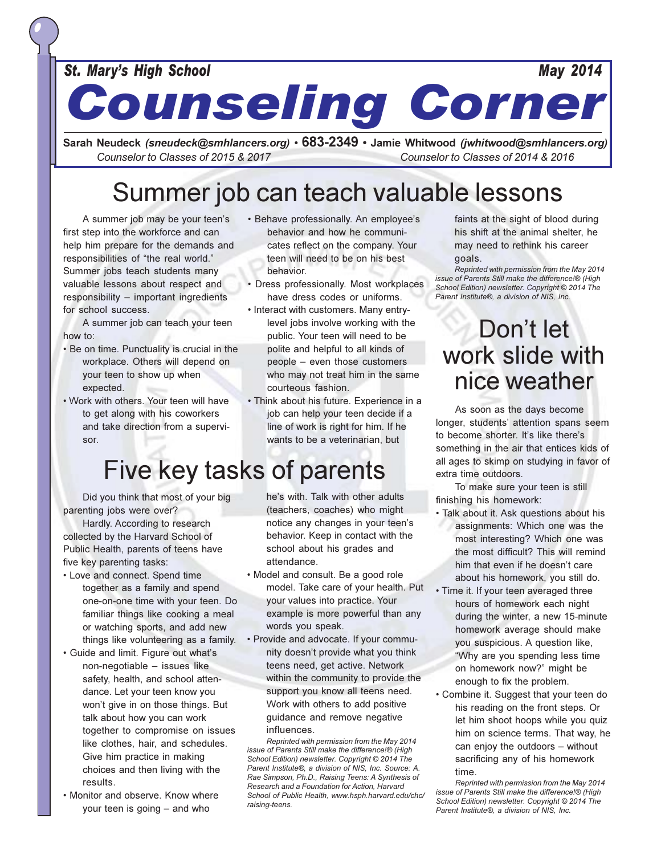#### **May 2014**

**Counseling Corner** 

Sarah Neudeck (sneudeck@smhlancers.org) • 683-2349 • Jamie Whitwood (jwhitwood@smhlancers.org) Counselor to Classes of 2015 & 2017 Counselor to Classes of 2014 & 2016

### Summer job can teach valuable lessons

A summer job may be your teen's first step into the workforce and can help him prepare for the demands and responsibilities of "the real world." Summer jobs teach students many valuable lessons about respect and responsibility - important ingredients for school success.

A summer job can teach your teen how to:

- . Be on time. Punctuality is crucial in the workplace. Others will depend on your teen to show up when expected.
- . Work with others. Your teen will have to get along with his coworkers and take direction from a supervisor.
- · Behave professionally. An employee's behavior and how he communicates reflect on the company. Your teen will need to be on his best behavior.
- Dress professionally. Most workplaces have dress codes or uniforms.
- Interact with customers. Many entrylevel jobs involve working with the public. Your teen will need to be polite and helpful to all kinds of people - even those customers who may not treat him in the same courteous fashion.
- · Think about his future. Experience in a job can help your teen decide if a line of work is right for him. If he wants to be a veterinarian, but

### Five key tasks of parents

Did you think that most of your big parenting jobs were over?

Hardly. According to research collected by the Harvard School of Public Health, parents of teens have five key parenting tasks:

- Love and connect. Spend time together as a family and spend one-on-one time with your teen. Do familiar things like cooking a meal or watching sports, and add new things like volunteering as a family.
- · Guide and limit. Figure out what's non-negotiable - issues like safety, health, and school attendance. Let your teen know you won't give in on those things. But talk about how you can work together to compromise on issues like clothes, hair, and schedules. Give him practice in making choices and then living with the results.
- Monitor and observe. Know where your teen is going  $-$  and who

he's with. Talk with other adults (teachers, coaches) who might notice any changes in your teen's behavior. Keep in contact with the school about his grades and attendance.

- Model and consult. Be a good role model. Take care of your health. Put your values into practice. Your example is more powerful than any words you speak.
- Provide and advocate. If your community doesn't provide what you think teens need, get active. Network within the community to provide the support you know all teens need. Work with others to add positive guidance and remove negative influences.

Reprinted with permission from the May 2014 issue of Parents Still make the difference!® (High School Edition) newsletter. Copyright © 2014 The Parent Institute®, a division of NIS, Inc. Source: A. Rae Simpson, Ph.D., Raising Teens: A Synthesis of Research and a Foundation for Action, Harvard School of Public Health, www.hsph.harvard.edu/chc/ raising-teens.

faints at the sight of blood during his shift at the animal shelter, he may need to rethink his career goals.

Reprinted with permission from the May 2014 issue of Parents Still make the difference!® (High School Edition) newsletter. Copyright © 2014 The Parent Institute®, a division of NIS, Inc.

### Don't let work slide with nice weather

As soon as the days become longer, students' attention spans seem to become shorter. It's like there's something in the air that entices kids of all ages to skimp on studying in favor of extra time outdoors.

To make sure your teen is still finishing his homework:

- · Talk about it. Ask questions about his assignments: Which one was the most interesting? Which one was the most difficult? This will remind him that even if he doesn't care about his homework, you still do.
- · Time it. If your teen averaged three hours of homework each night during the winter, a new 15-minute homework average should make you suspicious. A question like, "Why are you spending less time on homework now?" might be enough to fix the problem.
- Combine it. Suggest that your teen do his reading on the front steps. Or let him shoot hoops while you quiz him on science terms. That way, he can enjoy the outdoors - without sacrificing any of his homework time.

Reprinted with permission from the May 2014 issue of Parents Still make the difference!® (High School Edition) newsletter. Copyright © 2014 The Parent Institute®, a division of NIS, Inc.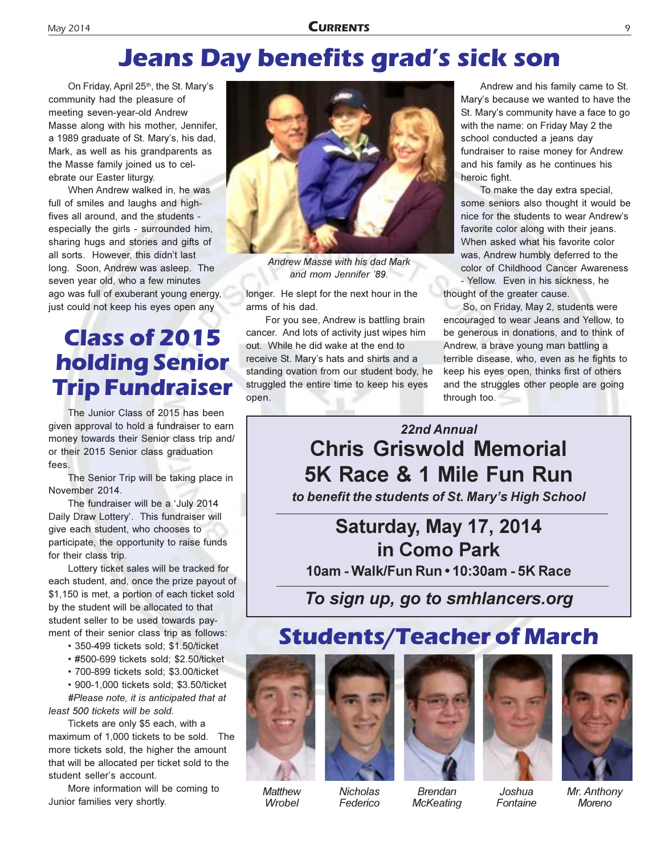### **Jeans Day benefits grad's sick son**

On Friday, April 25<sup>th</sup>, the St. Mary's community had the pleasure of meeting seven-year-old Andrew Masse along with his mother, Jennifer, a 1989 graduate of St. Mary's, his dad, Mark, as well as his grandparents as the Masse family joined us to celebrate our Easter liturgy.

When Andrew walked in, he was full of smiles and laughs and highfives all around, and the students especially the girls - surrounded him, sharing hugs and stories and gifts of all sorts. However, this didn't last long. Soon, Andrew was asleep. The seven year old, who a few minutes ago was full of exuberant young energy, just could not keep his eyes open any

### **Class of 2015 holding Senior Trip Fundraiser**

The Junior Class of 2015 has been given approval to hold a fundraiser to earn money towards their Senior class trip and/ or their 2015 Senior class graduation fees.

The Senior Trip will be taking place in November 2014.

The fundraiser will be a 'July 2014 Daily Draw Lottery'. This fundraiser will give each student, who chooses to participate, the opportunity to raise funds for their class trip.

Lottery ticket sales will be tracked for each student, and, once the prize payout of \$1,150 is met, a portion of each ticket sold by the student will be allocated to that student seller to be used towards payment of their senior class trip as follows:

- 350-499 tickets sold; \$1.50/ticket
- #500-699 tickets sold: \$2.50/ticket
- · 700-899 tickets sold; \$3.00/ticket
- 900-1,000 tickets sold; \$3.50/ticket

#Please note, it is anticipated that at least 500 tickets will be sold.

Tickets are only \$5 each, with a maximum of 1,000 tickets to be sold. The more tickets sold, the higher the amount that will be allocated per ticket sold to the student seller's account.

More information will be coming to Junior families very shortly.



Andrew Masse with his dad Mark and mom Jennifer '89.

longer. He slept for the next hour in the arms of his dad.

For you see, Andrew is battling brain cancer. And lots of activity just wipes him out. While he did wake at the end to receive St. Mary's hats and shirts and a standing ovation from our student body, he struggled the entire time to keep his eyes open.

Andrew and his family came to St. Mary's because we wanted to have the St. Mary's community have a face to go with the name: on Friday May 2 the school conducted a jeans day fundraiser to raise money for Andrew and his family as he continues his heroic fight.

To make the day extra special, some seniors also thought it would be nice for the students to wear Andrew's favorite color along with their jeans. When asked what his favorite color was, Andrew humbly deferred to the color of Childhood Cancer Awareness - Yellow. Even in his sickness, he thought of the greater cause.

So, on Friday, May 2, students were encouraged to wear Jeans and Yellow, to be generous in donations, and to think of Andrew, a brave young man battling a terrible disease, who, even as he fights to keep his eyes open, thinks first of others and the struggles other people are going through too.

22nd Annual **Chris Griswold Memorial** 5K Race & 1 Mile Fun Run to benefit the students of St. Mary's High School

#### Saturday, May 17, 2014 in Como Park 10am - Walk/Fun Run • 10:30am - 5K Race

To sign up, go to smhlancers.org

### **Students/Teacher of March**







**Nicholas** Federico



**Brendan McKeating** 





Mr. Anthony **Moreno**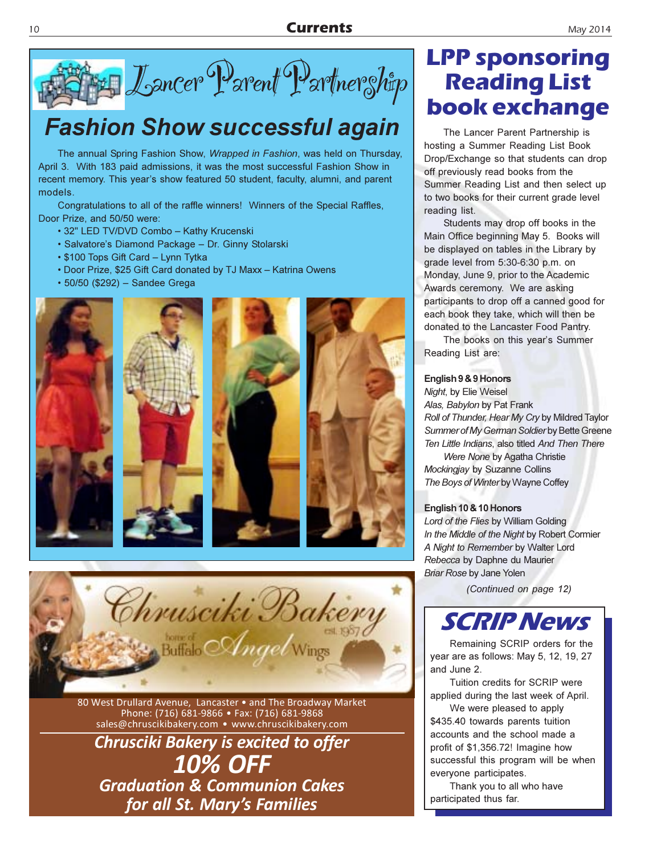

### **Fashion Show successful again**

The annual Spring Fashion Show, Wrapped in Fashion, was held on Thursday, April 3. With 183 paid admissions, it was the most successful Fashion Show in recent memory. This year's show featured 50 student, faculty, alumni, and parent models.

Congratulations to all of the raffle winners! Winners of the Special Raffles, Door Prize, and 50/50 were:

- 32" LED TV/DVD Combo Kathy Krucenski
- · Salvatore's Diamond Package Dr. Ginny Stolarski
- \$100 Tops Gift Card Lynn Tytka
- Door Prize, \$25 Gift Card donated by TJ Maxx Katrina Owens
- 50/50 (\$292) Sandee Grega









80 West Drullard Avenue, Lancaster . and The Broadway Market Phone: (716) 681-9866 • Fax: (716) 681-9868 sales@chruscikibakery.com · www.chruscikibakery.com

**Chrusciki Bakery is excited to offer 10% OFF Graduation & Communion Cakes** for all St. Mary's Families

### **LPP sponsoring Reading List** book exchange

The Lancer Parent Partnership is hosting a Summer Reading List Book Drop/Exchange so that students can drop off previously read books from the Summer Reading List and then select up to two books for their current grade level reading list.

Students may drop off books in the Main Office beginning May 5. Books will be displayed on tables in the Library by grade level from 5:30-6:30 p.m. on Monday, June 9, prior to the Academic Awards ceremony. We are asking participants to drop off a canned good for each book they take, which will then be donated to the Lancaster Food Pantry.

The books on this year's Summer Reading List are:

#### English 9 & 9 Honors

Night, by Elie Weisel Alas, Babylon by Pat Frank Roll of Thunder, Hear My Cry by Mildred Taylor Summer of My German Soldier by Bette Greene Ten Little Indians, also titled And Then There

Were None by Agatha Christie Mockingjay by Suzanne Collins The Boys of Winter by Wayne Coffey

#### English 10 & 10 Honors

Lord of the Flies by William Golding In the Middle of the Night by Robert Cormier A Night to Remember by Walter Lord Rebecca by Daphne du Maurier **Briar Rose by Jane Yolen** 

(Continued on page 12)



Remaining SCRIP orders for the year are as follows: May 5, 12, 19, 27 and June 2.

Tuition credits for SCRIP were applied during the last week of April.

We were pleased to apply \$435.40 towards parents tuition accounts and the school made a profit of \$1,356.72! Imagine how successful this program will be when everyone participates.

Thank you to all who have participated thus far.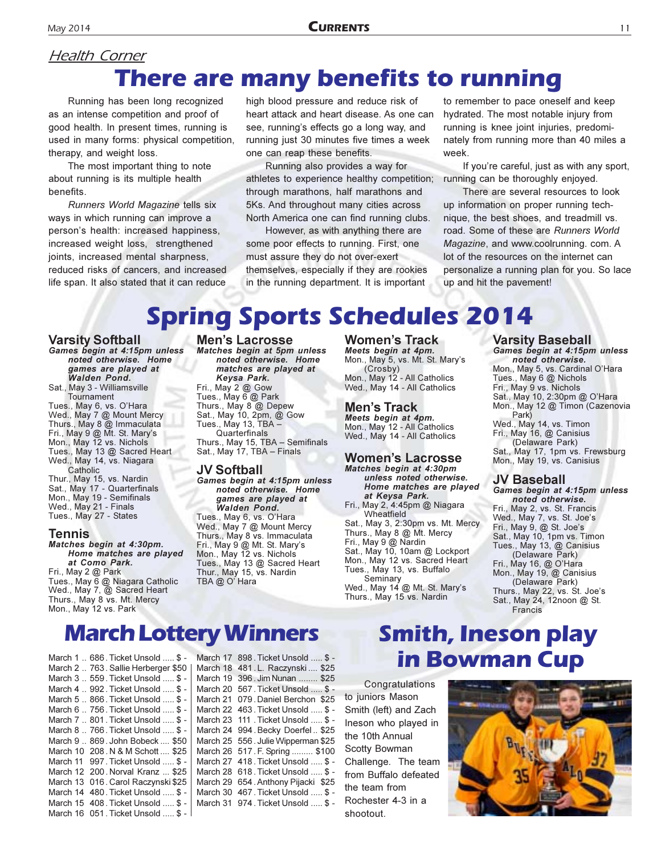#### **Health Corner There are many benefits to running**

Running has been long recognized as an intense competition and proof of good health. In present times, running is used in many forms: physical competition, therapy, and weight loss.

The most important thing to note about running is its multiple health benefits.

Runners World Magazine tells six ways in which running can improve a person's health: increased happiness, increased weight loss, strengthened joints, increased mental sharpness, reduced risks of cancers, and increased life span. It also stated that it can reduce

high blood pressure and reduce risk of heart attack and heart disease. As one can see, running's effects go a long way, and running just 30 minutes five times a week one can reap these benefits.

Running also provides a way for athletes to experience healthy competition; through marathons, half marathons and 5Ks. And throughout many cities across North America one can find running clubs.

However, as with anything there are some poor effects to running. First, one must assure they do not over-exert themselves, especially if they are rookies in the running department. It is important

to remember to pace oneself and keep hydrated. The most notable injury from running is knee joint injuries, predominately from running more than 40 miles a week.

If you're careful, just as with any sport, running can be thoroughly enjoyed.

There are several resources to look up information on proper running technique, the best shoes, and treadmill vs. road. Some of these are Runners World Magazine, and www.coolrunning. com. A lot of the resources on the internet can personalize a running plan for you. So lace up and hit the pavement!

### **Spring Sports Schedules 2014**

#### **Varsity Softball**

Games begin at 4:15pm unless noted otherwise. Home games are played at **Walden Pond.** Sat., May 3 - Williamsville Tournament Tues., May 6, vs. O'Hara Wed., May 7 @ Mount Mercy Thurs., May 8 @ Immaculata Fri., May 9 @ Mt. St. Mary's Mon., May 12 vs. Nichols Tues., May 13 @ Sacred Heart Wed., May 14, vs. Niagara Catholic Thur., May 15, vs. Nardin Sat., May 17 - Quarterfinals Mon., May 19 - Semifinals Wed., May 21 - Finals Tues., May 27 - States

#### **Tennis**

Matches begin at 4:30pm. Home matches are played at Como Park. Fri., May  $2@$  Park Tues., May 6 @ Niagara Catholic Wed., May 7, @ Sacred Heart Thurs., May 8 vs. Mt. Mercy Mon., May 12 vs. Park

#### **Men's Lacrosse**

Matches begin at 5pm unless noted otherwise. Home matches are played at Keysa Park. Fri., May 2 @ Gow Tues., May 6 @ Park Thurs., May 8 @ Depew Sat., May 10, 2pm, @ Gow Tues., May 13, TBA -Quarterfinals Thurs., May 15, TBA - Semifinals Sat., May 17, TBA - Finals

#### **JV Softball**

Games begin at 4:15pm unless noted otherwise. Home games are played at Walden Pond. Tues., May 6, vs. O'Hara Wed., May 7 @ Mount Mercy Thurs., May 8 vs. Immaculata Fri., May 9 @ Mt. St. Mary's Mon., May 12 vs. Nichols Tues., May 13 @ Sacred Heart Thur., May 15, vs. Nardin TBA @ O' Hara

**Women's Track** Meets begin at 4pm. Mon., May 5, vs. Mt. St. Mary's (Crosby) Mon., May 12 - All Catholics Wed., May 14 - All Catholics

#### **Men's Track**

Meets begin at 4pm.<br>Mon., May 12 - All Catholics Wed., May 14 - All Catholics

#### **Women's Lacrosse** Matches begin at 4:30pm

unless noted otherwise. Home matches are played at Keysa Park. Fri., May 2, 4:45pm @ Niagara

Wheatfield Sat., May 3, 2:30pm vs. Mt. Mercy Thurs., May 8 @ Mt. Mercy Fri., May 9 @ Nardin<br>Sat., May 9 @ Nardin<br>Sat., May 10, 10am @ Lockport Mon., May 12 vs. Sacred Heart Tues., May 13, vs. Buffalo Seminary

Wed., May 14 @ Mt. St. Mary's Thurs., May 15 vs. Nardin

#### **Varsity Baseball** Games begin at 4:15pm unless noted otherwise. Mon., May 5, vs. Cardinal O'Hara Tues., May 6 @ Nichols

Fri., May 9 vs. Nichols Sat., May 10, 2:30pm @ O'Hara Mon., May 12 @ Timon (Cazenovia<br>Park) Wed., May 14, vs. Timon Fri., May 16, @ Canisius (Delaware Park)

Sat., May 17, 1pm vs. Frewsburg Mon., May 19, vs. Canisius

#### JV Baseball

Games begin at 4:15pm unless noted otherwise. Fri., May 2, vs. St. Francis Wed., May 7, vs. St. Joe's Fri., May 9, @ St. Joe's Sat., May 10, 1pm vs. Timon Tues., May 13, @ Canisius (Delaware Park) Fri., May 16, @ O'Hara Mon., May 19, @ Canisius (Delaware Park) Thurs., May 22, vs. St. Joe's Sat., May 24, 12noon @ St. Francis

#### **March Lottery Winners**

March 1 .. 686. Ticket Unsold ..... \$ -March 2 .. 763. Sallie Herberger \$50 March 3 .. 559. Ticket Unsold ..... \$ -March 4 .. 992. Ticket Unsold ..... \$ -March 5 .. 866. Ticket Unsold ..... \$ -March 6 .. 756. Ticket Unsold ..... \$ -March 7 .. 801. Ticket Unsold ..... \$ -March 8 .. 766. Ticket Unsold ..... \$ -March 9 .. 869. John Bobeck .... \$50 March 10 208. N & M Schott .... \$25 March 11 997. Ticket Unsold ..... \$ -March 12 200. Norval Kranz ... \$25 March 13 016. Carol Raczynski \$25 March 14 480. Ticket Unsold ..... \$ -March 15 408. Ticket Unsold ..... \$ -March 16 051 Ticket Unsold ... \$ -

March 17 898. Ticket Unsold ..... \$ -March 18 481. L. Raczynski .... \$25 March 19 396. Jim Nunan ........ \$25 March 20 567. Ticket Unsold ..... \$ -March 21 079. Daniel Berchon \$25 March 22 463. Ticket Unsold ..... \$ -March 23 111 . Ticket Unsold ..... \$ -March 24 994. Becky Doerfel.. \$25 March 25 556. Julie Wipperman \$25 March 26 517. F. Spring ......... \$100 March 27 418. Ticket Unsold ..... \$ -March 28 618. Ticket Unsold ..... \$ -March 29 654. Anthony Pijacki \$25 March 30 467. Ticket Unsold ..... \$ -March 31 974. Ticket Unsold ..... \$ -

### **Smith, Ineson play in Bowman Cup**

Congratulations to juniors Mason Smith (left) and Zach Ineson who played in the 10th Annual Scotty Bowman Challenge. The team from Buffalo defeated the team from Rochester 4-3 in a shootout

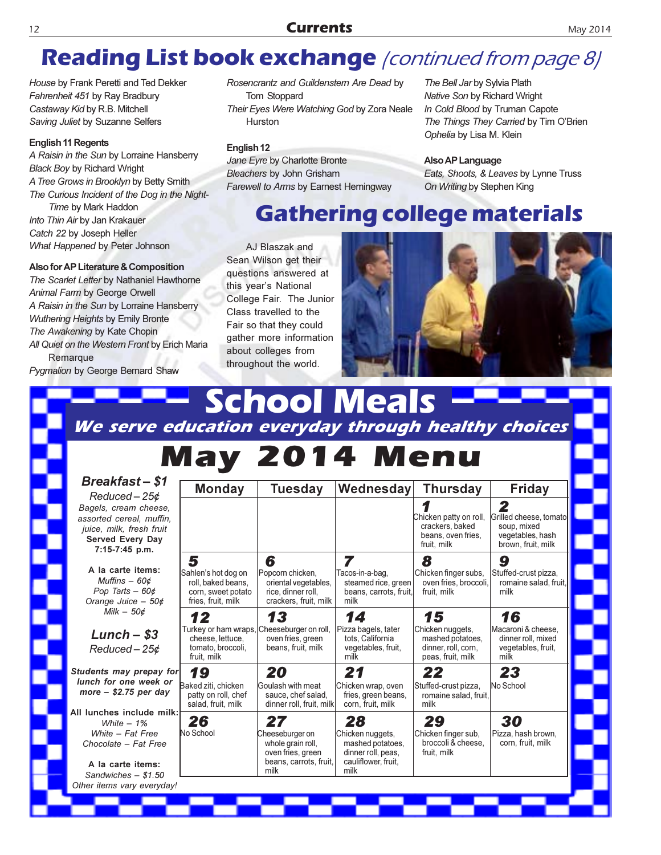### **Reading List book exchange** (continued from page 8)

House by Frank Peretti and Ted Dekker Fahrenheit 451 by Ray Bradbury Castaway Kid by R.B. Mitchell Saving Juliet by Suzanne Selfers

#### **English 11 Regents**

A Raisin in the Sun by Lorraine Hansberry **Black Boy by Richard Wright** A Tree Grows in Brooklyn by Betty Smith The Curious Incident of the Dog in the Night-Time by Mark Haddon Into Thin Air by Jan Krakauer Catch 22 by Joseph Heller What Happened by Peter Johnson

#### Also for AP Literature & Composition

The Scarlet Letter by Nathaniel Hawthorne Animal Farm by George Orwell A Raisin in the Sun by Lorraine Hansberry Wuthering Heights by Emily Bronte The Awakening by Kate Chopin All Quiet on the Westem Front by Erich Maria Remarque

Pygmalion by George Bernard Shaw

#### Rosencrantz and Guildenstem Are Dead by Tom Stoppard Their Eyes Were Watching God by Zora Neale Hurston

#### English<sub>12</sub>

Jane Eyre by Charlotte Bronte **Bleachers by John Grisham** Farey

The Bell Jar by Sylvia Plath Native Son by Richard Wright In Cold Blood by Truman Capote The Things They Carried by Tim O'Brien Ophelia by Lisa M. Klein

#### Also AP Language

Eats, Shoots, & Leaves by Lynne Truss n Writing by Stephen King

### ege materials

AJ Blaszak and Sean Wilson get their questions answered at this year's National Class travelled to the Fair so that they could about colleges from throughout the world.



# **Meal** School We serve education everyday through healthy choices **Break** Redu Bagels, a assorted juice, m Served

 $A$  la  $c$ Muff Pop Orange Mi

٦

Lun Redu

**Students** lunch for  $more -$ 

All lunche  $M$ White Chocola

A la c Sandwi Other item

| well to Arms by Earnest Hemingway | Οı |
|-----------------------------------|----|
| <b>Gathering colle</b>            |    |

College Fair. The Junior gather more information

| reakfast – \$1<br>Reduced – 25¢                                                                            | <b>Monday</b>                                                                                      | <b>Tuesday</b>                                                                                    | Wednesday                                                                                       | <b>Thursday</b>                                                                  | Friday                                                                               |
|------------------------------------------------------------------------------------------------------------|----------------------------------------------------------------------------------------------------|---------------------------------------------------------------------------------------------------|-------------------------------------------------------------------------------------------------|----------------------------------------------------------------------------------|--------------------------------------------------------------------------------------|
| rels, cream cheese,<br>orted cereal, muffin,<br>ce. milk. fresh fruit<br>erved Every Day<br>7:15-7:45 p.m. |                                                                                                    |                                                                                                   |                                                                                                 | Chicken patty on roll,<br>crackers, baked<br>beans, oven fries,<br>fruit, milk   | 2<br>Grilled cheese, tomato<br>soup, mixed<br>vegetables, hash<br>brown, fruit, milk |
| la carte items:<br>Muffins – 60¢<br>Pop Tarts $-60¢$                                                       | 5<br>Sahlen's hot dog on<br>roll, baked beans,<br>corn, sweet potato                               | 6<br>Popcorn chicken,<br>oriental vegetables,<br>rice, dinner roll,                               | 7<br>Tacos-in-a-bag,<br>steamed rice, green<br>beans, carrots, fruit,                           | 8<br>Chicken finger subs,<br>oven fries, broccoli,<br>fruit. milk                | 9<br>Stuffed-crust pizza,<br>romaine salad, fruit,<br>milk                           |
| range Juice - 50¢<br>Milk $-50¢$                                                                           | fries, fruit, milk<br>12                                                                           | crackers, fruit, milk<br>13                                                                       | milk<br>14                                                                                      | 15                                                                               | 16                                                                                   |
| Lunch – \$3<br>Reduced – 25¢                                                                               | Turkey or ham wraps, Cheeseburger on roll,<br>cheese, lettuce,<br>tomato, broccoli,<br>fruit, milk | oven fries, green<br>beans, fruit, milk                                                           | Pizza bagels, tater<br>tots, California<br>vegetables, fruit,<br>milk                           | Chicken nuggets,<br>mashed potatoes,<br>dinner, roll, corn,<br>peas, fruit, milk | Macaroni & cheese.<br>dinner roll, mixed<br>vegetables, fruit,<br>milk               |
| nts may prepay for<br>h for one week or:<br>re – \$2.75 per day                                            | 19<br>Baked ziti, chicken<br>patty on roll, chef<br>salad, fruit, milk                             | 20<br>Goulash with meat<br>sauce, chef salad,<br>dinner roll, fruit, milk                         | 21<br>Chicken wrap, oven<br>fries, green beans,<br>corn, fruit, milk                            | 22<br>Stuffed-crust pizza,<br>romaine salad, fruit,<br>milk                      | 23<br>No School                                                                      |
| nches include milk:<br>White $-1%$<br><i>Nhite – Fat Free</i><br>ocolate - Fat Free<br>la carte items:     | 26<br>No School                                                                                    | 27<br>Cheeseburger on<br>whole grain roll,<br>oven fries, green<br>beans, carrots, fruit,<br>milk | 28<br>Chicken nuggets,<br>mashed potatoes.<br>dinner roll, peas,<br>cauliflower, fruit,<br>milk | 29<br>Chicken finger sub,<br>broccoli & cheese.<br>fruit, milk                   | 30<br>Pizza, hash brown,<br>corn, fruit, milk                                        |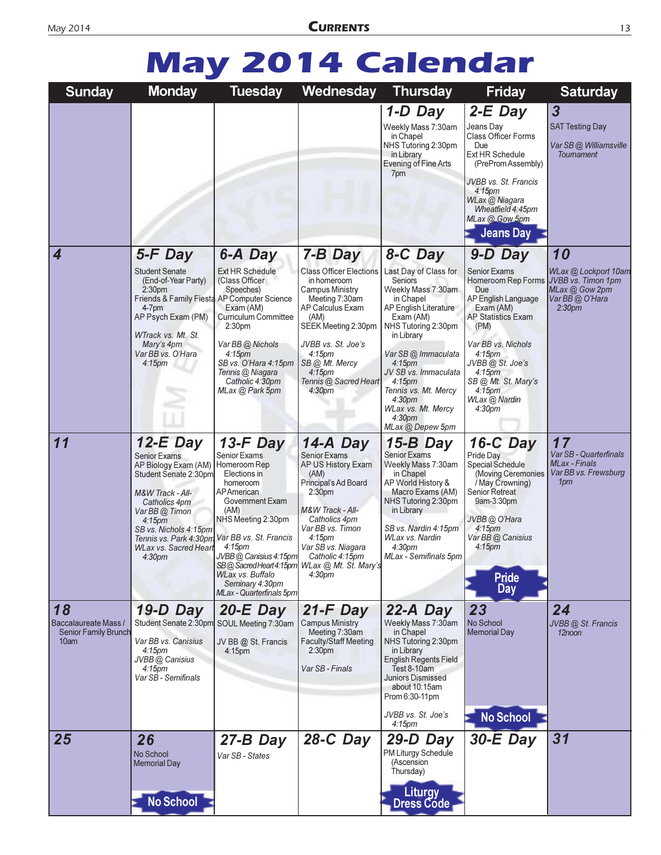# **May 2014 Calendar**

| <b>Sunday</b>                                                     | <b>Monday</b>                                                                                                                                                                                                                                                         | <b>Tuesday</b>                                                                                                                                                                                                                                                            | Wednesday                                                                                                                                                                                                                                                                                               | <b>Thursday</b>                                                                                                                                                                                                                                                                                                                                           | <b>Friday</b>                                                                                                                                                                                                                                                                                                  | <b>Saturday</b>                                                                                           |
|-------------------------------------------------------------------|-----------------------------------------------------------------------------------------------------------------------------------------------------------------------------------------------------------------------------------------------------------------------|---------------------------------------------------------------------------------------------------------------------------------------------------------------------------------------------------------------------------------------------------------------------------|---------------------------------------------------------------------------------------------------------------------------------------------------------------------------------------------------------------------------------------------------------------------------------------------------------|-----------------------------------------------------------------------------------------------------------------------------------------------------------------------------------------------------------------------------------------------------------------------------------------------------------------------------------------------------------|----------------------------------------------------------------------------------------------------------------------------------------------------------------------------------------------------------------------------------------------------------------------------------------------------------------|-----------------------------------------------------------------------------------------------------------|
|                                                                   |                                                                                                                                                                                                                                                                       |                                                                                                                                                                                                                                                                           |                                                                                                                                                                                                                                                                                                         | 1-D Day<br>Weekly Mass 7:30am<br>in Chapel<br>NHS Tutoring 2:30pm<br>in Library<br>Evening of Fine Arts<br>7pm                                                                                                                                                                                                                                            | $2-E$ Day<br>Jeans Day<br>Class Officer Forms<br>Due<br>Ext HR Schedule<br>(PreProm Assembly)<br>JVBB vs. St. Francis<br>4:15 <sub>pm</sub><br>WLax @ Niagara<br>Wheatfield 4:45pm<br>MLax @ Gow 5pm<br><b>Jeans Day</b>                                                                                       | $\overline{\mathbf{3}}$<br><b>SAT Testing Day</b><br>Var SB @ Williamsville<br>Toumament                  |
| 4                                                                 | 5-F Day<br><b>Student Senate</b><br>(End-of-Year Party)<br>2:30 <sub>pm</sub><br>Friends & Family Fiesta AP Computer Science<br>4-7pm<br>AP Psych Exam (PM)<br>WTrack vs. Mt. St.<br>Mary's 4pm<br>Var BB vs. O'Hara<br>4:15 <sub>pm</sub>                            | 6-A Day<br>Ext HR Schedule<br>(Class Officer<br>Speeches)<br>Exam (AM)<br><b>Curriculum Committee</b><br>2:30pm<br>Var BB @ Nichols<br>4:15 <sub>pm</sub><br>SB vs. O'Hara 4:15pm<br>Tennis @ Niagara<br>Catholic 4:30pm<br>MLax @ Park 5pm                               | 7-B Day<br><b>Class Officer Elections</b><br>in homeroom<br><b>Campus Ministry</b><br>Meeting 7:30am<br>AP Calculus Exam<br>(AM)<br>SEEK Meeting 2:30pm<br>JVBB vs. St. Joe's<br>4:15 <sub>pm</sub><br>SB @ Mt. Mercy<br>$4:15$ pm<br>Tennis @ Sacred Heart<br>4:30 <sub>pm</sub>                       | 8-C Day<br>Last Day of Class for<br>Seniors<br>Weekly Mass 7:30am<br>in Chapel<br>AP English Literature<br>Exam (AM)<br>NHS Tutoring 2:30pm<br>in Library<br>Var SB @ Immaculata<br>$4:15$ pm<br>JV SB vs. Immaculata<br>4:15 <sub>pm</sub><br>Tennis vs. Mt. Mercy<br>4:30 <sub>pm</sub><br>WLax vs. Mt. Mercy<br>4:30 <sub>pm</sub><br>MLax @ Depew 5pm | 9-D Day<br><b>Senior Exams</b><br>Homeroom Rep Forms<br>Due<br>AP English Language<br>Exam (AM)<br><b>AP Statistics Exam</b><br>(PM)<br>Var BB vs. Nichols<br>4:15 <sub>pm</sub><br>JVBB @ St. Joe's<br>4:15 <sub>pm</sub><br>SB @ Mt. St. Mary's<br>4:15 <sub>pm</sub><br>WLax @ Nardin<br>4:30 <sub>pm</sub> | 10<br>WLax @ Lockport 10am<br>JVBB vs. Timon 1pm<br>MLax @ Gow 2pm<br>Var BB@O'Hara<br>2:30 <sub>pm</sub> |
| 11                                                                | $12-E$ Day<br>Senior Exams<br>AP Biology Exam (AM) Homeroom Rep<br>Student Senate 2:30pm<br>M&W Track - All-<br>Catholics 4pm<br>Var BB @ Timon<br>$4:15$ pm<br>SB vs. Nichols 4:15pm<br>Tennis vs. Park 4:30pm<br><b>WLax vs. Sacred Heart</b><br>4:30 <sub>pm</sub> | $13-F$ Day<br><b>Senior Exams</b><br>Elections in<br>homeroom<br>APAmerican<br>Government Exam<br>(AM)<br>NHS Meeting 2:30pm<br>Var BB vs. St. Francis<br>4:15 <sub>pm</sub><br>JVBB @ Canisius 4:15pm<br>WLax vs. Buffalo<br>Seminary 4:30pm<br>MLax - Quarterfinals 5pm | 14-A Day<br><b>Senior Exams</b><br>AP US History Exam<br>(AM)<br>Principal's Ad Board<br>2:30 <sub>pm</sub><br>M&W Track - All-<br>Catholics 4pm<br>Var BB vs. Timon<br>4:15 <sub>pm</sub><br>Var SB vs. Niagara<br>Catholic 4:15pm<br>SB@SacredHeart4:15pm WLax @ Mt. St. Mary's<br>4:30 <sub>pm</sub> | 15-B Day<br><b>Senior Exams</b><br>Weekly Mass 7:30am<br>in Chapel<br>AP World History &<br>Macro Exams (AM)<br>NHS Tutoring 2:30pm<br>in Library<br>SB vs. Nardin 4:15pm<br>WLax vs. Nardin<br>4:30 <sub>pm</sub><br>MLax - Semifinals 5pm                                                                                                               | $16-C$ Day<br>Pride Day<br><b>Special Schedule</b><br>(Moving Ceremonies<br>/ May Crowning)<br><b>Senior Retreat</b><br>9am-3:30pm<br>JVBB @ O'Hara<br>4:15pm<br>Var BB @ Canisius<br>$4:15 \text{pm}$<br><b>Pride</b><br>Day                                                                                  | 17<br>Var SB - Quarterfinals<br><b>MLax</b> - Finals<br>Var BB vs. Frewsburg<br>1pm                       |
| 18<br>Baccalaureate Mass /<br><b>Senior Family Brunch</b><br>10am | $19-D$ Day<br>Student Senate 2:30pm SOUL Meeting 7:30am<br>Var BB vs. Canisius<br>4:15 <sub>pm</sub><br>JVBB @ Canisius<br>4:15 <sub>pm</sub><br>Var SB - Semifinals                                                                                                  | $20-E$ Day<br>JV BB @ St. Francis<br>$4:15$ pm                                                                                                                                                                                                                            | $21-F$ Day<br><b>Campus Ministry</b><br>Meeting 7:30am<br><b>Faculty/Staff Meeting</b><br>2:30 <sub>pm</sub><br>Var SB - Finals                                                                                                                                                                         | $22-A$ Day<br>Weekly Mass 7:30am<br>in Chapel<br>NHS Tutoring 2:30pm<br>in Library<br>English Regents Field<br>Test 8-10am<br><b>Juniors Dismissed</b><br>about 10:15am<br>Prom 6:30-11pm<br>JVBB vs. St. Joe's<br>4:15 <sub>pm</sub>                                                                                                                     | 23<br>No School<br><b>Memorial Day</b><br><b>No School</b>                                                                                                                                                                                                                                                     | 24<br>JVBB @ St. Francis<br>12noon                                                                        |
| 25                                                                | 26<br>No School<br><b>Memorial Day</b><br>No School                                                                                                                                                                                                                   | 27-B Day<br>Var SB - States                                                                                                                                                                                                                                               | $28-C$ Day                                                                                                                                                                                                                                                                                              | 29-D Day<br>PM Liturgy Schedule<br>(Ascension<br>Thursday)<br>Liturgy<br>Dress Code                                                                                                                                                                                                                                                                       | $30-E$ Day                                                                                                                                                                                                                                                                                                     | 31                                                                                                        |